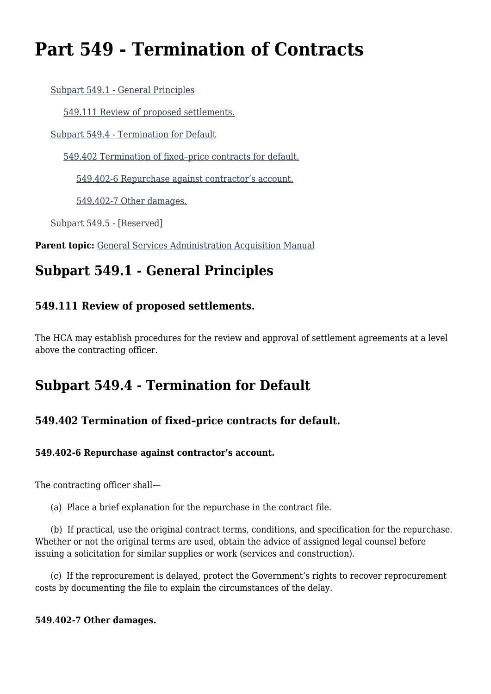# **Part 549 - Termination of Contracts**

[Subpart 549.1 - General Principles](#page--1-0)

[549.111 Review of proposed settlements.](#page--1-0)

[Subpart 549.4 - Termination for Default](#page--1-0)

[549.402 Termination of fixed–price contracts for default.](#page--1-0)

[549.402-6 Repurchase against contractor's account.](#page--1-0)

[549.402-7 Other damages.](#page--1-0)

[Subpart 549.5 - \[Reserved\]](#page--1-0)

Parent topic: [General Services Administration Acquisition Manual](https://www.acquisition.gov/content/general-services-administration-acquisition-manual-5)

# **Subpart 549.1 - General Principles**

### **549.111 Review of proposed settlements.**

The HCA may establish procedures for the review and approval of settlement agreements at a level above the contracting officer.

## **Subpart 549.4 - Termination for Default**

### **549.402 Termination of fixed–price contracts for default.**

#### **549.402-6 Repurchase against contractor's account.**

The contracting officer shall—

(a) Place a brief explanation for the repurchase in the contract file.

 (b) If practical, use the original contract terms, conditions, and specification for the repurchase. Whether or not the original terms are used, obtain the advice of assigned legal counsel before issuing a solicitation for similar supplies or work (services and construction).

 (c) If the reprocurement is delayed, protect the Government's rights to recover reprocurement costs by documenting the file to explain the circumstances of the delay.

#### **549.402-7 Other damages.**